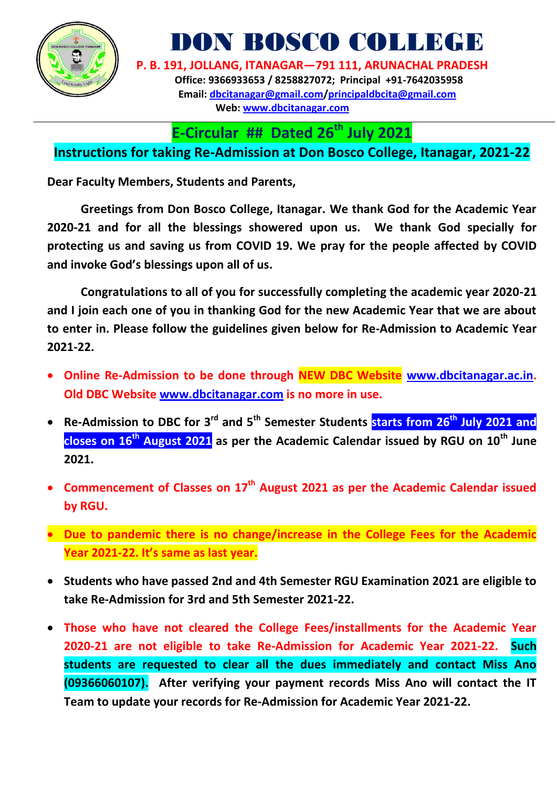

DON BOSCO COLLEGE

 **P. B. 191, JOLLANG, ITANAGAR—791 111, ARUNACHAL PRADESH Office: 9366933653 / 8258827072; Principal +91-7642035958 Email: [dbcitanagar@gmail.com/](mailto:dbcitanagar@gmail.com)principaldbcita@gmail.com Web: [www.dbcitanagar.com](http://www.dbcitanagar.com/)**

**E-Circular ## Dated 26 th July 2021**

## **Instructions for taking Re-Admission at Don Bosco College, Itanagar, 2021-22**

**Dear Faculty Members, Students and Parents,** 

**Greetings from Don Bosco College, Itanagar. We thank God for the Academic Year 2020-21 and for all the blessings showered upon us. We thank God specially for protecting us and saving us from COVID 19. We pray for the people affected by COVID and invoke God's blessings upon all of us.** 

**Congratulations to all of you for successfully completing the academic year 2020-21 and I join each one of you in thanking God for the new Academic Year that we are about to enter in. Please follow the guidelines given below for Re-Admission to Academic Year 2021-22.**

- **Online Re-Admission to be done through NEW DBC Website [www.dbcitanagar.ac.in.](http://www.dbcitanagar.ac.in/) Old DBC Website [www.dbcitanagar.com](http://www.dbcitanagar.com/) is no more in use.**
- **Re-Admission to DBC for 3rd and 5th Semester Students starts from 26th July 2021 and closes on 16th August 2021 as per the Academic Calendar issued by RGU on 10th June 2021.**
- **Commencement of Classes on 17th August 2021 as per the Academic Calendar issued by RGU.**
- **Due to pandemic there is no change/increase in the College Fees for the Academic Year 2021-22. It's same as last year.**
- **Students who have passed 2nd and 4th Semester RGU Examination 2021 are eligible to take Re-Admission for 3rd and 5th Semester 2021-22.**
- **Those who have not cleared the College Fees/installments for the Academic Year 2020-21 are not eligible to take Re-Admission for Academic Year 2021-22. Such students are requested to clear all the dues immediately and contact Miss Ano (09366060107). After verifying your payment records Miss Ano will contact the IT Team to update your records for Re-Admission for Academic Year 2021-22.**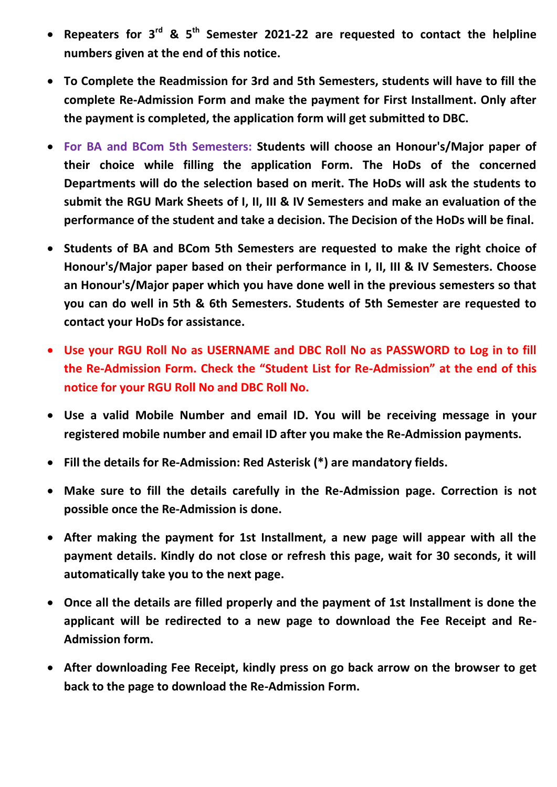- **Repeaters for 3rd & 5th Semester 2021-22 are requested to contact the helpline numbers given at the end of this notice.**
- **To Complete the Readmission for 3rd and 5th Semesters, students will have to fill the complete Re-Admission Form and make the payment for First Installment. Only after the payment is completed, the application form will get submitted to DBC.**
- **For BA and BCom 5th Semesters: Students will choose an Honour's/Major paper of their choice while filling the application Form. The HoDs of the concerned Departments will do the selection based on merit. The HoDs will ask the students to submit the RGU Mark Sheets of I, II, III & IV Semesters and make an evaluation of the performance of the student and take a decision. The Decision of the HoDs will be final.**
- **Students of BA and BCom 5th Semesters are requested to make the right choice of Honour's/Major paper based on their performance in I, II, III & IV Semesters. Choose an Honour's/Major paper which you have done well in the previous semesters so that you can do well in 5th & 6th Semesters. Students of 5th Semester are requested to contact your HoDs for assistance.**
- **Use your RGU Roll No as USERNAME and DBC Roll No as PASSWORD to Log in to fill the Re-Admission Form. Check the "Student List for Re-Admission" at the end of this notice for your RGU Roll No and DBC Roll No.**
- **Use a valid Mobile Number and email ID. You will be receiving message in your registered mobile number and email ID after you make the Re-Admission payments.**
- **Fill the details for Re-Admission: Red Asterisk (\*) are mandatory fields.**
- **Make sure to fill the details carefully in the Re-Admission page. Correction is not possible once the Re-Admission is done.**
- **After making the payment for 1st Installment, a new page will appear with all the payment details. Kindly do not close or refresh this page, wait for 30 seconds, it will automatically take you to the next page.**
- **Once all the details are filled properly and the payment of 1st Installment is done the applicant will be redirected to a new page to download the Fee Receipt and Re-Admission form.**
- **After downloading Fee Receipt, kindly press on go back arrow on the browser to get back to the page to download the Re-Admission Form.**